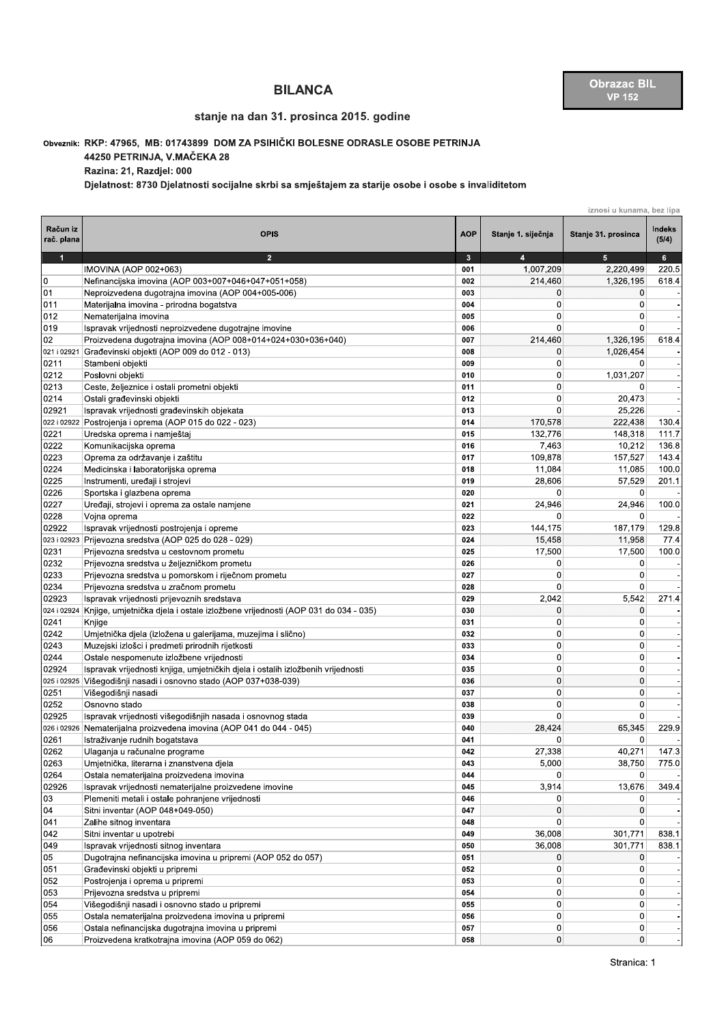## BILANCA Obrazac BIL<br>Stanje na dan 31. prosinca 2015. godine with the stanje na dan 31. prosinca 2015. godine

## Obveznik: KKP: 47965, MB: 01743899 DOM ZA PSIHICKI BOLESNE ODRASLE OSOBE PETRINJA

|                        |                                                                                                                                                                                                                                                     |                           |                      | <b>VP 152</b>                    |                 |
|------------------------|-----------------------------------------------------------------------------------------------------------------------------------------------------------------------------------------------------------------------------------------------------|---------------------------|----------------------|----------------------------------|-----------------|
|                        | stanje na dan 31. prosinca 2015. godine                                                                                                                                                                                                             |                           |                      |                                  |                 |
|                        | Obveznik: RKP: 47965, MB: 01743899 DOM ZA PSIHIČKI BOLESNE ODRASLE OSOBE PETRINJA<br>44250 PETRINJA, V.MAČEKA 28<br>Razina: 21, Razdjel: 000<br>Djelatnost: 8730 Djelatnosti socijalne skrbi sa smještajem za starije osobe i osobe s invaliditetom |                           |                      |                                  |                 |
|                        |                                                                                                                                                                                                                                                     | iznosi u kunama, bez lipa |                      |                                  |                 |
| Račun iz<br>rač. plana | <b>OPIS</b>                                                                                                                                                                                                                                         | <b>AOP</b>                | Stanje 1. siječnja   | Stanje 31. prosinca              | Indeks<br>(5/4) |
| $\mathbf{1}$           | $\overline{2}$                                                                                                                                                                                                                                      | $\mathbf{3}$              | $\overline{4}$       | $5\phantom{.0}$                  | 6 <sup>1</sup>  |
| 0                      | IMOVINA (AOP 002+063)<br>Nefinancijska imovina (AOP 003+007+046+047+051+058)                                                                                                                                                                        | 001<br>002                | 1,007,209<br>214,460 | 2,220,499<br>1,326,195           | 220.5<br>618.4  |
| 01                     | Neproizvedena dugotrajna imovina (AOP 004+005-006)                                                                                                                                                                                                  | 003                       | 0                    | 0                                |                 |
| 011                    | Materijalna imovina - prirodna bogatstva                                                                                                                                                                                                            | 004                       | 0                    | 0                                |                 |
| 012                    | Nematerijalna imovina                                                                                                                                                                                                                               | 005                       | $\mathbf 0$          | $\Omega$                         |                 |
| 019                    | Ispravak vrijednosti neproizvedene dugotrajne imovine                                                                                                                                                                                               | 006                       | 0                    | $\Omega$                         |                 |
| 02                     | Proizvedena dugotrajna imovina (AOP 008+014+024+030+036+040)                                                                                                                                                                                        | 007                       | 214.460              | 1,326,195                        | 618.4           |
| 021 i 02921            | Građevinski objekti (AOP 009 do 012 - 013)                                                                                                                                                                                                          | 008                       | 0                    | 1,026,454                        |                 |
| 0211<br>0212           | Stambeni objekti<br>Poslovni objekti                                                                                                                                                                                                                | 009<br>010                | 0<br>$\mathbf 0$     | 0<br>1,031,207                   |                 |
| 0213                   | Ceste, željeznice i ostali prometni objekti                                                                                                                                                                                                         | 011                       | 0                    | 0                                |                 |
| 0214                   | Ostali građevinski objekti                                                                                                                                                                                                                          | 012                       | 0                    | 20,473                           |                 |
| 02921                  | Ispravak vrijednosti građevinskih objekata                                                                                                                                                                                                          | 013                       | $\mathbf 0$          | 25,226                           |                 |
| 022 i 02922            | Postrojenja i oprema (AOP 015 do 022 - 023)                                                                                                                                                                                                         | 014                       | 170,578              | 222,438                          | 130.4           |
| 0221                   | Uredska oprema i namještaj                                                                                                                                                                                                                          | 015                       | 132,776              | 148,318                          | 111.7           |
| 0222                   | Komunikacijska oprema                                                                                                                                                                                                                               | 016                       | 7,463                | 10,212                           | 136.8           |
| 0223<br>0224           | Oprema za održavanje i zaštitu                                                                                                                                                                                                                      | 017<br>018                | 109,878<br>11,084    | 157,527<br>11,085                | 143.4           |
| 0225                   | Medicinska i laboratorijska oprema<br>Instrumenti, uređaji i strojevi                                                                                                                                                                               | 019                       | 28,606               | 57,529                           | 100.0<br>201.1  |
| 0226                   | Sportska i glazbena oprema                                                                                                                                                                                                                          | 020                       | 0                    | 0                                |                 |
| 0227                   | Uređaji, strojevi i oprema za ostale namjene                                                                                                                                                                                                        | 021                       | 24,946               | 24,946                           | 100.0           |
| 0228                   | Vojna oprema                                                                                                                                                                                                                                        | 022                       | 0                    | 0                                |                 |
| 02922                  | Ispravak vrijednosti postrojenja i opreme                                                                                                                                                                                                           | 023                       | 144,175              | 187,179                          | 129.8           |
| 023 i 02923            | Prijevozna sredstva (AOP 025 do 028 - 029)                                                                                                                                                                                                          | 024                       | 15,458               | 11,958                           | 77.4            |
| 0231                   | Prijevozna sredstva u cestovnom prometu                                                                                                                                                                                                             | 025                       | 17,500               | 17,500                           | 100.0           |
| 0232<br>0233           | Prijevozna sredstva u željezničkom prometu<br>Prijevozna sredstva u pomorskom i riječnom prometu                                                                                                                                                    | 026<br>027                | $\mathbf 0$<br>0     | 0<br>$\overline{0}$              |                 |
| 0234                   | Prijevozna sredstva u zračnom prometu                                                                                                                                                                                                               | 028                       | 0                    | $\Omega$                         |                 |
| 02923                  | Ispravak vrijednosti prijevoznih sredstava                                                                                                                                                                                                          | 029                       | 2,042                | 5,542                            | 271.4           |
|                        | 024 i 02924 Knjige, umjetnička djela i ostale izložbene vrijednosti (AOP 031 do 034 - 035)                                                                                                                                                          | 030                       | 0                    | 0                                |                 |
| 0241                   | Knjige                                                                                                                                                                                                                                              | 031                       | $\mathbf 0$          | $\overline{0}$                   |                 |
| 0242                   | Umjetnička djela (izložena u galerijama, muzejima i slično)                                                                                                                                                                                         | 032                       | $\mathbf 0$          | $\Omega$                         |                 |
| 0243                   | Muzejski izlošci i predmeti prirodnih rijetkosti                                                                                                                                                                                                    | 033                       | 0                    | $\overline{0}$                   |                 |
| 0244<br>02924          | Ostale nespomenute izložbene vrijednosti<br>Ispravak vrijednosti knjiga, umjetničkih djela i ostalih izložbenih vrijednosti                                                                                                                         | 034<br>035                | $\mathbf 0$<br>0     | $\overline{0}$<br>$\overline{0}$ |                 |
| 025 i 02925            | Višegodišnji nasadi i osnovno stado (AOP 037+038-039)                                                                                                                                                                                               | 036                       | $\mathbf 0$          | $\overline{0}$                   |                 |
| 0251                   | Višegodišnji nasadi                                                                                                                                                                                                                                 | 037                       | 0                    | $\overline{0}$                   |                 |
| 0252                   | Osnovno stado                                                                                                                                                                                                                                       | 038                       | 0                    | $\overline{0}$                   |                 |
| 02925                  | Ispravak vrijednosti višegodišnjih nasada i osnovnog stada                                                                                                                                                                                          | 039                       | $\mathbf 0$          | 0                                |                 |
| 026 i 02926            | Nematerijalna proizvedena imovina (AOP 041 do 044 - 045)                                                                                                                                                                                            | 040                       | 28,424               | 65,345                           | 229.9           |
| 0261                   | Istraživanje rudnih bogatstava                                                                                                                                                                                                                      | 041                       | 0                    | $\overline{0}$                   |                 |
| 0262                   | Ulaganja u računalne programe                                                                                                                                                                                                                       | 042                       | 27,338               | 40,271                           | 147.3           |
| 0263<br>0264           | Umjetnička, literarna i znanstvena djela<br>Ostala nematerijalna proizvedena imovina                                                                                                                                                                | 043<br>044                | 5,000<br>0           | 38,750<br>0                      | 775.0           |
| 02926                  | Ispravak vrijednosti nematerijalne proizvedene imovine                                                                                                                                                                                              | 045                       | 3,914                | 13,676                           | 349.4           |
| 03                     | Plemeniti metali i ostale pohranjene vrijednosti                                                                                                                                                                                                    | 046                       | 0                    | 0                                |                 |
| 04                     | Sitni inventar (AOP 048+049-050)                                                                                                                                                                                                                    | 047                       | 0                    | $\overline{0}$                   |                 |
| 041                    | Zalihe sitnog inventara                                                                                                                                                                                                                             | 048                       | 0                    | 0                                |                 |
| 042                    | Sitni inventar u upotrebi                                                                                                                                                                                                                           | 049                       | 36,008               | 301,771                          | 838.1           |
| 049                    | Ispravak vrijednosti sitnog inventara                                                                                                                                                                                                               | 050                       | 36,008               | 301,771                          | 838.1           |
| 05<br>051              | Dugotrajna nefinancijska imovina u pripremi (AOP 052 do 057)<br>Građevinski objekti u pripremi                                                                                                                                                      | 051<br>052                | 0<br>0               | 0<br>0                           |                 |
| 052                    | Postrojenja i oprema u pripremi                                                                                                                                                                                                                     | 053                       | 0                    | 0                                |                 |
| 053                    | Prijevozna sredstva u pripremi                                                                                                                                                                                                                      | 054                       | 0                    | $\overline{0}$                   |                 |
| 054                    | Višegodišnji nasadi i osnovno stado u pripremi                                                                                                                                                                                                      | 055                       | 0                    | $\overline{0}$                   |                 |
| 055                    | Ostala nematerijalna proizvedena imovina u pripremi                                                                                                                                                                                                 | 056                       | 0                    | $\overline{0}$                   |                 |
| 056                    | Ostala nefinancijska dugotrajna imovina u pripremi                                                                                                                                                                                                  | 057                       | 0                    | $\overline{0}$                   |                 |
| 06                     | Proizvedena kratkotrajna imovina (AOP 059 do 062)                                                                                                                                                                                                   | 058                       | $\mathbf 0$          | $\overline{0}$                   |                 |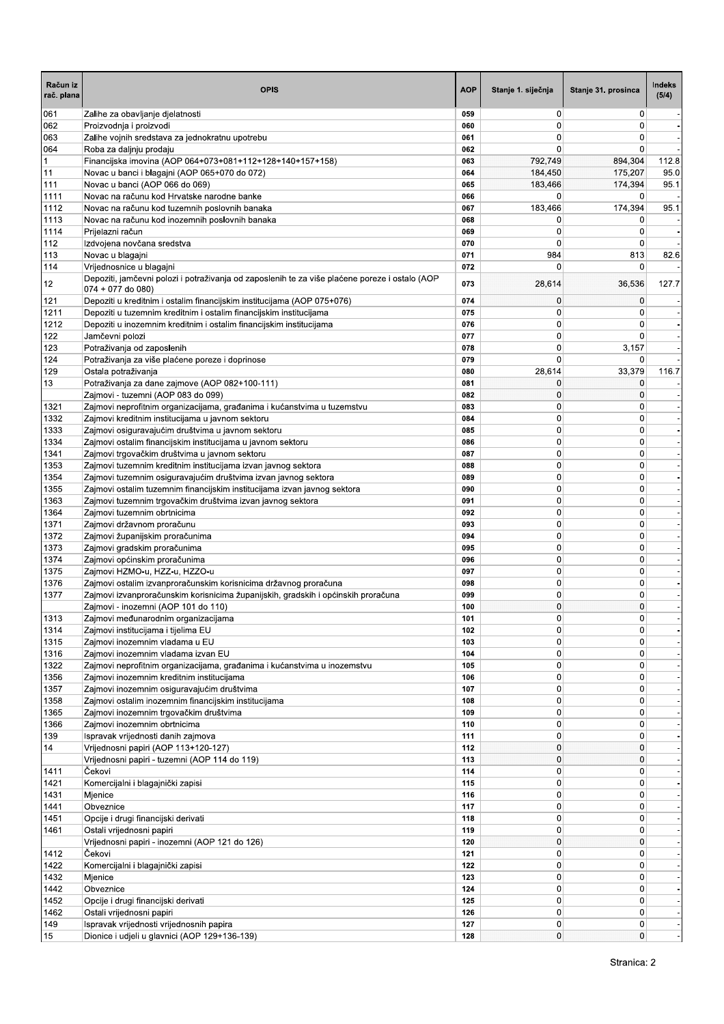| Račun iz<br>rač. plana | <b>OPIS</b>                                                                                                                                | <b>AOP</b> | Stanje 1. siječnja | Stanje 31. prosinca | Indeks<br>(5/4) |
|------------------------|--------------------------------------------------------------------------------------------------------------------------------------------|------------|--------------------|---------------------|-----------------|
| 061                    | Zalihe za obavljanje djelatnosti                                                                                                           | 059        | 0                  | 0                   |                 |
| 062                    | Proizvodnja i proizvodi                                                                                                                    | 060        | 0                  | $\Omega$            |                 |
| 063<br>064             | Zalihe vojnih sredstava za jednokratnu upotrebu<br>Roba za daljnju prodaju                                                                 | 061<br>062 | 0<br>0             | 0<br>0              |                 |
| $\vert$ 1              | Financijska imovina (AOP 064+073+081+112+128+140+157+158)                                                                                  | 063        | 792,749            | 894,304             | 112.8           |
| 11                     | Novac u banci i blagajni (AOP 065+070 do 072)                                                                                              | 064        | 184,450            | 175,207             | 95.0            |
| 111                    | Novac u banci (AOP 066 do 069)                                                                                                             | 065        | 183,466            | 174,394             | 95.1            |
| 1111                   | Novac na računu kod Hrvatske narodne banke                                                                                                 | 066        | 0                  | 0                   |                 |
| 1112<br>1113           | Novac na računu kod tuzemnih poslovnih banaka<br>Novac na računu kod inozemnih poslovnih banaka                                            | 067<br>068 | 183,466<br>0       | 174,394<br>0        | 95.1            |
| 1114                   | Prijelazni račun                                                                                                                           | 069        | 0                  | $\mathbf 0$         |                 |
| 112                    | Izdvojena novčana sredstva                                                                                                                 | 070        | 0                  | 0                   |                 |
| 113                    | Novac u blagajni                                                                                                                           | 071        | 984                | 813                 | 82.6            |
| 114                    | Vrijednosnice u blagajni                                                                                                                   | 072        | $\Omega$           | 0                   |                 |
| 12                     | Depoziti, jamčevni polozi i potraživanja od zaposlenih te za više plaćene poreze i ostalo (AOP<br>074 + 077 do 080)                        | 073        | 28,614             | 36,536              | 127.7           |
| 121                    | Depoziti u kreditnim i ostalim financijskim institucijama (AOP 075+076)                                                                    | 074        | 0                  | $\mathbf 0$         |                 |
| 1211<br>1212           | Depoziti u tuzemnim kreditnim i ostalim financijskim institucijama<br>Depoziti u inozemnim kreditnim i ostalim financijskim institucijama  | 075<br>076 | 0<br>0             | 0<br>0              |                 |
| 122                    | Jamčevni polozi                                                                                                                            | 077        | 0                  | 0                   |                 |
| 123                    | Potraživanja od zaposlenih                                                                                                                 | 078        | 0                  | 3,157               |                 |
| 124                    | Potraživanja za više plaćene poreze i doprinose                                                                                            | 079        | 0                  | $\Omega$            |                 |
| 129                    | Ostala potraživanja                                                                                                                        | 080        | 28,614             | 33,379              | 116.7           |
| 13                     | Potraživanja za dane zajmove (AOP 082+100-111)                                                                                             | 081        | 0                  | 0                   |                 |
| 1321                   | Zajmovi - tuzemni (AOP 083 do 099)<br>Zajmovi neprofitnim organizacijama, građanima i kućanstvima u tuzemstvu                              | 082<br>083 | 0<br>0             | 0<br>0              |                 |
| 1332                   | Zajmovi kreditnim institucijama u javnom sektoru                                                                                           | 084        | 0                  | 0                   |                 |
| 1333                   | Zajmovi osiguravajućim društvima u javnom sektoru                                                                                          | 085        | 0                  | 0                   |                 |
| 1334                   | Zajmovi ostalim financijskim institucijama u javnom sektoru                                                                                | 086        | 0                  | 0                   |                 |
| 1341                   | Zajmovi trgovačkim društvima u javnom sektoru                                                                                              | 087        | 0                  | 0                   |                 |
| 1353                   | Zajmovi tuzemnim kreditnim institucijama izvan javnog sektora                                                                              | 088        | 0                  | $\mathbf 0$         |                 |
| 1354<br>1355           | Zajmovi tuzemnim osiguravajućim društvima izvan javnog sektora<br>Zajmovi ostalim tuzemnim financijskim institucijama izvan javnog sektora | 089<br>090 | 0<br>0             | 0<br>0              |                 |
| 1363                   | Zajmovi tuzemnim trgovačkim društvima izvan javnog sektora                                                                                 | 091        | 0                  | 0                   |                 |
| 1364                   | Zajmovi tuzemnim obrtnicima                                                                                                                | 092        | 0                  | 0                   |                 |
| 1371                   | Zajmovi državnom proračunu                                                                                                                 | 093        | 0                  | $\mathbf 0$         |                 |
| 1372                   | Zajmovi županijskim proračunima                                                                                                            | 094        | 0                  | $\mathbf 0$         |                 |
| 1373<br>1374           | Zajmovi gradskim proračunima                                                                                                               | 095<br>096 | 0<br>0             | 0<br>0              |                 |
| 1375                   | Zajmovi općinskim proračunima<br>Zajmovi HZMO-u, HZZ-u, HZZO-u                                                                             | 097        | 0                  | 0                   |                 |
| 1376                   | Zajmovi ostalim izvanproračunskim korisnicima državnog proračuna                                                                           | 098        | 0                  | $\mathbf 0$         |                 |
| 1377                   | Zajmovi izvanproračunskim korisnicima županijskih, gradskih i općinskih proračuna                                                          | 099        | 0                  | 0                   |                 |
|                        | Zajmovi - inozemni (AOP 101 do 110)                                                                                                        | 100        | 0                  | $\Omega$            |                 |
| 1313                   | Zajmovi međunarodnim organizacijama                                                                                                        | 101        | 0                  | 0                   |                 |
| 1314<br>1315           | Zajmovi institucijama i tijelima EU<br>Zajmovi inozemnim vladama u EU                                                                      | 102<br>103 | 0<br>0             | $\mathbf 0$<br>0    |                 |
| 1316                   | Zajmovi inozemnim vladama izvan EU                                                                                                         | 104        | 0                  | $\mathbf 0$         |                 |
| 1322                   | Zajmovi neprofitnim organizacijama, građanima i kućanstvima u inozemstvu                                                                   | 105        | $\overline{0}$     | 0                   |                 |
| 1356                   | Zajmovi inozemnim kreditnim institucijama                                                                                                  | 106        | 0                  | 0                   |                 |
| 1357                   | Zajmovi inozemnim osiguravajućim društvima                                                                                                 | 107        | 0                  | 0                   |                 |
| 1358                   | Zajmovi ostalim inozemnim financijskim institucijama                                                                                       | 108        | 0                  | 0                   |                 |
| 1365                   | Zajmovi inozemnim trgovačkim društvima<br>Zajmovi inozemnim obrtnicima                                                                     | 109<br>110 | 0<br>0             | 0<br>0              |                 |
| 1366<br>139            | Ispravak vrijednosti danih zajmova                                                                                                         | 111        | 0                  | 0                   |                 |
| 14                     | Vrijednosni papiri (AOP 113+120-127)                                                                                                       | 112        | 0                  | $\mathbf 0$         |                 |
|                        | Vrijednosni papiri - tuzemni (AOP 114 do 119)                                                                                              | 113        | 0                  | $\mathbf 0$         |                 |
| 1411                   | Čekovi                                                                                                                                     | 114        | 0                  | $\mathbf 0$         |                 |
| 1421                   | Komercijalni i blagajnički zapisi                                                                                                          | 115        | 0                  | 0                   |                 |
| 1431<br>1441           | Mjenice<br>Obveznice                                                                                                                       | 116<br>117 | 0<br>0             | 0<br>0              |                 |
| 1451                   | Opcije i drugi financijski derivati                                                                                                        | 118        | 0                  | $\mathbf 0$         |                 |
| 1461                   | Ostali vrijednosni papiri                                                                                                                  | 119        | 0                  | $\mathbf 0$         |                 |
|                        | Vrijednosni papiri - inozemni (AOP 121 do 126)                                                                                             | 120        | 0                  | 0                   |                 |
| 1412                   | Čekovi                                                                                                                                     | 121        | 0                  | 0                   |                 |
| 1422                   | Komercijalni i blagajnički zapisi                                                                                                          | 122        | 0                  | 0                   |                 |
| 1432<br>1442           | Mjenice<br>Obveznice                                                                                                                       | 123<br>124 | 0<br>0             | $\mathbf 0$<br>0    |                 |
| 1452                   | Opcije i drugi financijski derivati                                                                                                        | 125        | 0                  | 0                   |                 |
| 1462                   | Ostali vrijednosni papiri                                                                                                                  | 126        | 0                  | 0                   |                 |
| 149                    | Ispravak vrijednosti vrijednosnih papira                                                                                                   | 127        | $\overline{0}$     | $\mathbf 0$         |                 |
| 15                     | Dionice i udjeli u glavnici (AOP 129+136-139)                                                                                              | 128        | $\overline{0}$     | $\mathbf{0}$        |                 |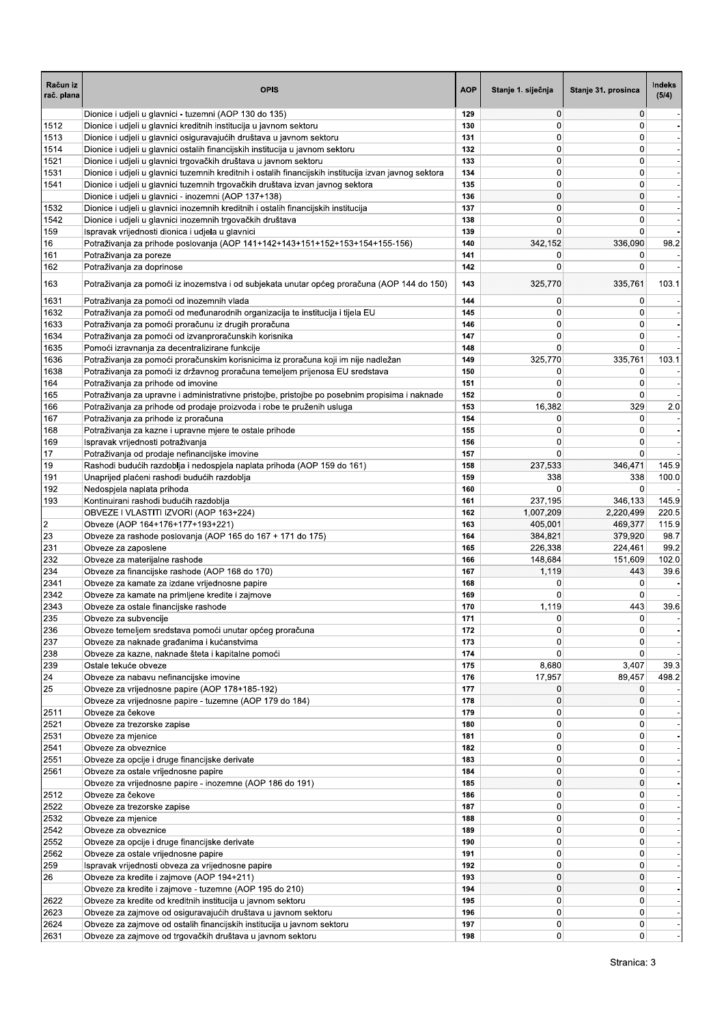| Račun iz<br>rač. plana | <b>OPIS</b>                                                                                                                                       | <b>AOP</b> | Stanje 1. siječnja | Stanje 31. prosinca              | Indeks<br>(5/4) |
|------------------------|---------------------------------------------------------------------------------------------------------------------------------------------------|------------|--------------------|----------------------------------|-----------------|
|                        | Dionice i udjeli u glavnici - tuzemni (AOP 130 do 135)                                                                                            | 129        | 0                  | $\mathbf{0}$                     |                 |
| 1512                   | Dionice i udjeli u glavnici kreditnih institucija u javnom sektoru                                                                                | 130        | 0                  | $\mathbf{0}$                     |                 |
| 1513                   | Dionice i udjeli u glavnici osiguravajućih društava u javnom sektoru                                                                              | 131        | 0<br>0             | 0                                |                 |
| 1514<br>1521           | Dionice i udjeli u glavnici ostalih financijskih institucija u javnom sektoru<br>Dionice i udjeli u glavnici trgovačkih društava u javnom sektoru | 132<br>133 | 0                  | 0<br>0                           |                 |
| 1531                   | Dionice i udjeli u glavnici tuzemnih kreditnih i ostalih financijskih institucija izvan javnog sektora                                            | 134        | 0                  | $\overline{0}$                   |                 |
| 1541                   | Dionice i udjeli u glavnici tuzemnih trgovačkih društava izvan javnog sektora                                                                     | 135        | 0                  | 0                                |                 |
|                        | Dionice i udjeli u glavnici - inozemni (AOP 137+138)                                                                                              | 136        | 0                  | $\mathbf{0}$                     |                 |
| 1532                   | Dionice i udjeli u glavnici inozemnih kreditnih i ostalih financijskih institucija                                                                | 137        | 0                  | 0                                |                 |
| 1542                   | Dionice i udjeli u glavnici inozemnih trgovačkih društava                                                                                         | 138        | 0                  | $\overline{0}$                   |                 |
| 159                    | Ispravak vrijednosti dionica i udjela u glavnici                                                                                                  | 139        | 0                  | $\Omega$                         |                 |
| 16                     | Potraživanja za prihode poslovanja (AOP 141+142+143+151+152+153+154+155-156)                                                                      | 140        | 342,152            | 336,090                          | 98.2            |
| 161                    | Potraživanja za poreze                                                                                                                            | 141        | 0                  | 0                                |                 |
| 162                    | Potraživanja za doprinose                                                                                                                         | 142        | 0                  | 0                                |                 |
| 163                    | Potraživanja za pomoći iz inozemstva i od subjekata unutar općeg proračuna (AOP 144 do 150)                                                       | 143        | 325,770            | 335,761                          | 103.1           |
| 1631<br>1632           | Potraživanja za pomoći od inozemnih vlada<br>Potraživanja za pomoći od međunarodnih organizacija te institucija i tijela EU                       | 144<br>145 | 0<br>0             | 0<br>0                           |                 |
| 1633                   | Potraživanja za pomoći proračunu iz drugih proračuna                                                                                              | 146        | 0                  | 0                                |                 |
| 1634                   | Potraživanja za pomoći od izvanproračunskih korisnika                                                                                             | 147        | 0                  | 0                                |                 |
| 1635                   | Pomoći izravnanja za decentralizirane funkcije                                                                                                    | 148        | 0                  | $\overline{0}$                   |                 |
| 1636                   | Potraživanja za pomoći proračunskim korisnicima iz proračuna koji im nije nadležan                                                                | 149        | 325,770            | 335,761                          | 103.1           |
| 1638                   | Potraživanja za pomoći iz državnog proračuna temeljem prijenosa EU sredstava                                                                      | 150        | 0                  | 0                                |                 |
| 164                    | Potraživanja za prihode od imovine                                                                                                                | 151        | 0                  | 0                                |                 |
| 165                    | Potraživanja za upravne i administrativne pristojbe, pristojbe po posebnim propisima i naknade                                                    | 152        | 0                  | 0                                |                 |
| 166                    | Potraživanja za prihode od prodaje proizvoda i robe te pruženih usluga                                                                            | 153        | 16,382             | 329                              | 2.0             |
| 167<br>168             | Potraživanja za prihode iz proračuna                                                                                                              | 154        | 0                  | 0                                |                 |
|                        | Potraživanja za kazne i upravne mjere te ostale prihode                                                                                           | 155        | 0<br>0             | 0<br>0                           |                 |
| 169                    | Ispravak vrijednosti potraživanja<br>Potraživanja od prodaje nefinancijske imovine                                                                | 156<br>157 | 0                  | 0                                |                 |
|                        | Rashodi budućih razdoblja i nedospjela naplata prihoda (AOP 159 do 161)                                                                           | 158        | 237,533            | 346,471                          | 145.9           |
|                        | Unaprijed plaćeni rashodi budućih razdoblja                                                                                                       | 159        | 338                | 338                              | 100.0           |
| 191<br>192             | Nedospjela naplata prihoda                                                                                                                        | 160        | 0                  | $\Omega$                         |                 |
| 193                    | Kontinuirani rashodi budućih razdoblja                                                                                                            | 161        | 237,195            | 346,133                          | 145.9           |
|                        | OBVEZE I VLASTITI IZVORI (AOP 163+224)                                                                                                            | 162        | 1,007,209          | 2,220,499                        | 220.5           |
|                        | Obveze (AOP 164+176+177+193+221)                                                                                                                  | 163        | 405,001            | 469,377                          | 115.9           |
|                        | Obveze za rashode poslovanja (AOP 165 do 167 + 171 do 175)                                                                                        | 164        | 384,821            | 379,920                          | 98.7            |
| 231                    | Obveze za zaposlene                                                                                                                               | 165        | 226,338            | 224,461                          | 99.2            |
| 232                    | Obveze za materijalne rashode                                                                                                                     | 166        | 148,684            | 151,609                          | 102.0           |
| 234<br>2341            | Obveze za financijske rashode (AOP 168 do 170)                                                                                                    | 167        | 1,119<br>0         | 443<br>$\mathbf 0$               | 39.6            |
| 2342                   | Obveze za kamate za izdane vrijednosne papire<br>Obveze za kamate na primljene kredite i zajmove                                                  | 168<br>169 | 0                  | 0                                |                 |
| 2343                   | Obveze za ostale financijske rashode                                                                                                              | 170        | 1,119              | 443                              | 39.6            |
| 235                    | Obveze za subvencije                                                                                                                              | 171        | 0                  | 0                                |                 |
| 236                    | Obveze temeljem sredstava pomoći unutar općeg proračuna                                                                                           | 172        | 0                  | 0                                |                 |
| 237                    | Obveze za naknade građanima i kućanstvima                                                                                                         | 173        | 0                  | $\Omega$                         |                 |
| 238                    | Obveze za kazne, naknade šteta i kapitalne pomoći                                                                                                 | 174        | 0                  | $\overline{0}$                   |                 |
| 239<br>24              | Ostale tekuće obveze                                                                                                                              | 175        | 8,680              | 3,407                            | 39.3            |
|                        | Obveze za nabavu nefinancijske imovine                                                                                                            | 176        | 17,957             | 89,457                           | 498.2           |
|                        | Obveze za vrijednosne papire (AOP 178+185-192)                                                                                                    | 177        | 0                  | 0                                |                 |
|                        | Obveze za vrijednosne papire - tuzemne (AOP 179 do 184)                                                                                           | 178        | 0                  | $\mathbf{0}$                     |                 |
| 2511<br>2521           | Obveze za čekove<br>Obveze za trezorske zapise                                                                                                    | 179<br>180 | 0<br>0             | $\overline{0}$<br>$\overline{0}$ |                 |
| 2531                   | Obveze za mjenice                                                                                                                                 | 181        | 0                  | $\overline{0}$                   |                 |
| 2541                   | Obveze za obveznice                                                                                                                               | 182        | 0                  | 0                                |                 |
| 2551                   | Obveze za opcije i druge financijske derivate                                                                                                     | 183        | 0                  | $\overline{0}$                   |                 |
| 2561                   | Obveze za ostale vrijednosne papire                                                                                                               | 184        | 0                  | $\overline{0}$                   |                 |
|                        | Obveze za vrijednosne papire - inozemne (AOP 186 do 191)                                                                                          | 185        | $\overline{0}$     | $\overline{0}$                   |                 |
| 2512                   | Obveze za čekove                                                                                                                                  | 186        | 0                  | $\overline{0}$                   |                 |
| 2522                   | Obveze za trezorske zapise                                                                                                                        | 187        | 0                  | 0                                |                 |
| 2532                   | Obveze za mjenice                                                                                                                                 | 188        | 0                  | $\overline{0}$                   |                 |
| 2542                   | Obveze za obveznice                                                                                                                               | 189        | 0                  | $\overline{0}$                   |                 |
| 2552                   | Obveze za opcije i druge financijske derivate                                                                                                     | 190        | 0                  | $\overline{0}$                   |                 |
| 2562                   | Obveze za ostale vrijednosne papire                                                                                                               | 191<br>192 | 0<br>0             | 0<br>$\overline{0}$              |                 |
| 259<br>26              | Ispravak vrijednosti obveza za vrijednosne papire<br>Obveze za kredite i zajmove (AOP 194+211)                                                    | 193        | 0                  | $\overline{0}$                   |                 |
|                        | Obveze za kredite i zajmove - tuzemne (AOP 195 do 210)                                                                                            | 194        | 0                  | 0                                |                 |
| 2622                   | Obveze za kredite od kreditnih institucija u javnom sektoru                                                                                       | 195        | 0                  | $\overline{0}$                   |                 |
| 2623                   | Obveze za zajmove od osiguravajućih društava u javnom sektoru                                                                                     | 196        | 0                  | $\overline{0}$                   |                 |
| 2624                   | Obveze za zajmove od ostalih financijskih institucija u javnom sektoru                                                                            | 197        | 0                  | $\overline{0}$                   |                 |
| 2631                   | Obveze za zajmove od trgovačkih društava u javnom sektoru                                                                                         | 198        | 0                  | $\overline{0}$                   |                 |
|                        |                                                                                                                                                   |            |                    |                                  |                 |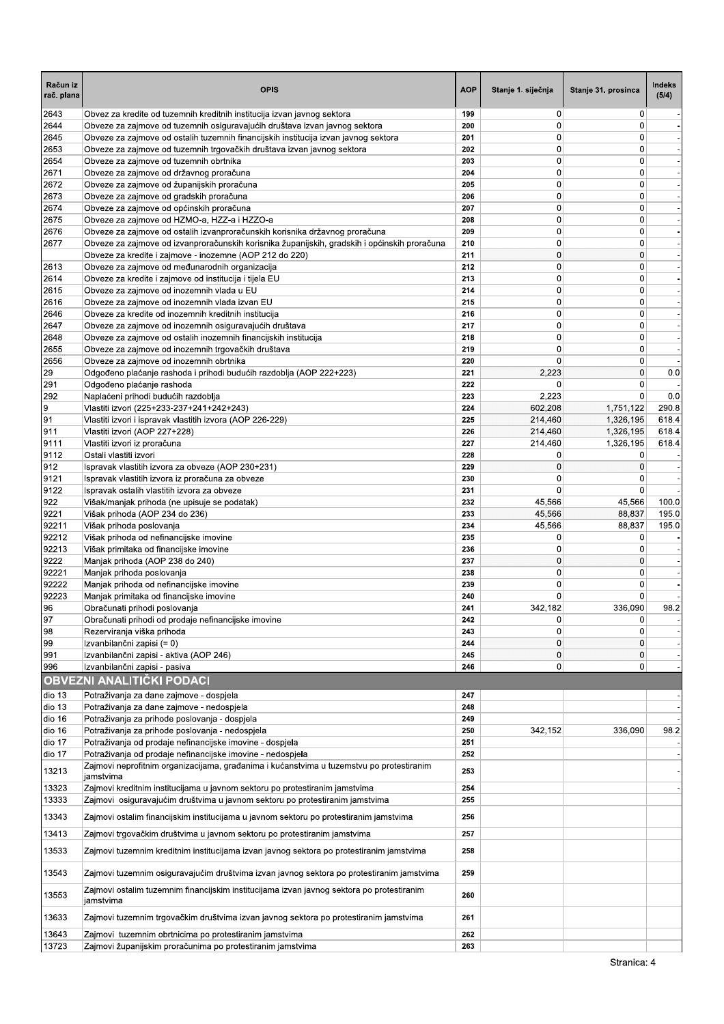| Račun iz<br>rač. plana | <b>OPIS</b>                                                                                                                                                       | <b>AOP</b> | Stanje 1. siječnja         | Stanje 31. prosinca              | Indeks<br>(5/4)          |
|------------------------|-------------------------------------------------------------------------------------------------------------------------------------------------------------------|------------|----------------------------|----------------------------------|--------------------------|
| 2643                   | Obvez za kredite od tuzemnih kreditnih institucija izvan javnog sektora                                                                                           | 199        | 0                          | $\overline{0}$                   |                          |
| 2644<br>2645           | Obveze za zajmove od tuzemnih osiguravajućih društava izvan javnog sektora<br>Obveze za zajmove od ostalih tuzemnih financijskih institucija izvan javnog sektora | 200<br>201 | $\mathbf 0$<br>0           | $\mathbf 0$<br>0                 |                          |
| 2653                   | Obveze za zajmove od tuzemnih trgovačkih društava izvan javnog sektora                                                                                            | 202        | 0                          | $\overline{0}$                   |                          |
| 2654                   | Obveze za zajmove od tuzemnih obrtnika                                                                                                                            | 203        | 0                          | $\overline{0}$                   | $\overline{\phantom{a}}$ |
| 2671                   | Obveze za zajmove od državnog proračuna                                                                                                                           | 204        | $\mathbf 0$                | $\overline{0}$                   |                          |
| 2672                   | Obveze za zajmove od županijskih proračuna                                                                                                                        | 205        | 0                          | 0                                |                          |
| 2673                   | Obveze za zajmove od gradskih proračuna                                                                                                                           | 206        | 0                          | 0                                | $\blacksquare$           |
| 2674                   | Obveze za zajmove od općinskih proračuna                                                                                                                          | 207        | 0                          | 0                                |                          |
| 2675<br>2676           | Obveze za zajmove od HZMO-a, HZZ-a i HZZO-a<br>Obveze za zajmove od ostalih izvanproračunskih korisnika državnog proračuna                                        | 208<br>209 | $\mathbf 0$<br>$\mathbf 0$ | $\overline{0}$<br>0              |                          |
| 2677                   | Obveze za zajmove od izvanproračunskih korisnika županijskih, gradskih i općinskih proračuna                                                                      | 210        | $\mathbf 0$                | 0                                |                          |
|                        | Obveze za kredite i zajmove - inozemne (AOP 212 do 220)                                                                                                           | 211        | 0                          | 0                                | $\overline{\phantom{a}}$ |
| 2613                   | Obveze za zajmove od međunarodnih organizacija                                                                                                                    | 212        | 0                          | $\overline{0}$                   |                          |
| 2614                   | Obveze za kredite i zajmove od institucija i tijela EU                                                                                                            | 213        | $\mathbf 0$                | $\overline{0}$                   |                          |
| 2615                   | Obveze za zajmove od inozemnih vlada u EU                                                                                                                         | 214        | 0                          | 0                                |                          |
| 2616                   | Obveze za zajmove od inozemnih vlada izvan EU                                                                                                                     | 215        | 0                          | 0                                |                          |
| 2646                   | Obveze za kredite od inozemnih kreditnih institucija                                                                                                              | 216<br>217 | 0<br>0                     | 0<br>0                           | $\overline{\phantom{a}}$ |
| 2647<br>2648           | Obveze za zajmove od inozemnih osiguravajućih društava<br>Obveze za zajmove od ostalih inozemnih financijskih institucija                                         | 218        | 0                          | $\mathbf 0$                      |                          |
| 2655                   | Obveze za zajmove od inozemnih trgovačkih društava                                                                                                                | 219        | 0                          | 0                                |                          |
| 2656                   | Obveze za zajmove od inozemnih obrtnika                                                                                                                           | 220        | 0                          | $\overline{0}$                   |                          |
| 29                     | Odgođeno plaćanje rashoda i prihodi budućih razdoblja (AOP 222+223)                                                                                               | 221        | 2,223                      | $\overline{0}$                   | 0.0                      |
| 291                    | Odgođeno plaćanje rashoda                                                                                                                                         | 222        | 0                          | 0                                |                          |
| 292                    | Naplaćeni prihodi budućih razdoblja                                                                                                                               | 223        | 2,223                      | $\mathbf 0$                      | 0.0                      |
| 9                      | Vlastiti izvori (225+233-237+241+242+243)                                                                                                                         | 224        | 602,208                    | 1,751,122                        | 290.8                    |
| 91<br>911              | Vlastiti izvori i ispravak vlastitih izvora (AOP 226-229)                                                                                                         | 225<br>226 | 214,460<br>214,460         | 1,326,195<br>1,326,195           | 618.4<br>618.4           |
| 9111                   | Vlastiti izvori (AOP 227+228)<br>Vlastiti izvori iz proračuna                                                                                                     | 227        | 214,460                    | 1,326,195                        | 618.4                    |
| 9112                   | Ostali vlastiti izvori                                                                                                                                            | 228        | 0                          | 0                                |                          |
| 912                    | Ispravak vlastitih izvora za obveze (AOP 230+231)                                                                                                                 | 229        | 0                          | $\mathbf 0$                      |                          |
| 9121                   | Ispravak vlastitih izvora iz proračuna za obveze                                                                                                                  | 230        | $\mathbf 0$                | 0                                |                          |
| 9122                   | Ispravak ostalih vlastitih izvora za obveze                                                                                                                       | 231        | 0                          | $\mathbf 0$                      |                          |
| 922                    | Višak/manjak prihoda (ne upisuje se podatak)                                                                                                                      | 232        | 45,566                     | 45,566                           | 100.0                    |
| 9221                   | Višak prihoda (AOP 234 do 236)                                                                                                                                    | 233        | 45,566                     | 88,837                           | 195.0                    |
| 92211<br>92212         | Višak prihoda poslovanja<br>Višak prihoda od nefinancijske imovine                                                                                                | 234<br>235 | 45,566<br>0                | 88,837<br>0                      | 195.0                    |
| 92213                  | Višak primitaka od financijske imovine                                                                                                                            | 236        | 0                          | 0                                |                          |
| 9222                   | Manjak prihoda (AOP 238 do 240)                                                                                                                                   | 237        | 0                          | 0                                |                          |
| 92221                  | Manjak prihoda poslovanja                                                                                                                                         | 238        | 0                          | $\overline{0}$                   |                          |
| 92222                  | Manjak prihoda od nefinancijske imovine                                                                                                                           | 239        | $\mathbf 0$                | $\overline{0}$                   |                          |
| 92223                  | Manjak primitaka od financijske imovine                                                                                                                           | 240        | 0                          | 0                                |                          |
| 96                     | Obračunati prihodi poslovanja                                                                                                                                     | 241        | 342,182                    | 336,090                          | 98.2                     |
| 97<br>98               | Obračunati prihodi od prodaje nefinancijske imovine<br>Rezerviranja viška prihoda                                                                                 | 242<br>243 | 0<br>0                     | $\overline{0}$<br>$\overline{0}$ |                          |
| 99                     | Izvanbilančni zapisi (= 0)                                                                                                                                        | 244        | 0                          | $\overline{0}$                   |                          |
| 991                    | Izvanbilančni zapisi - aktiva (AOP 246)                                                                                                                           | 245        | 0                          | 0                                |                          |
| 996                    | Izvanbilančni zapisi - pasiva                                                                                                                                     | 246        | 0                          | $\overline{0}$                   |                          |
|                        | <b>OBVEZNI ANALITIČKI PODACI</b>                                                                                                                                  |            |                            |                                  |                          |
| dio 13                 | Potraživanja za dane zajmove - dospjela                                                                                                                           | 247        |                            |                                  |                          |
| dio 13                 | Potraživanja za dane zajmove - nedospjela                                                                                                                         | 248        |                            |                                  | $\overline{\phantom{a}}$ |
| dio 16                 | Potraživanja za prihode poslovanja - dospjela                                                                                                                     | 249        |                            |                                  |                          |
| dio 16                 | Potraživanja za prihode poslovanja - nedospjela                                                                                                                   | 250        | 342,152                    | 336,090                          | 98.2                     |
| dio 17                 | Potraživanja od prodaje nefinancijske imovine - dospjela                                                                                                          | 251        |                            |                                  |                          |
| dio 17                 | Potraživanja od prodaje nefinancijske imovine - nedospjela                                                                                                        | 252        |                            |                                  |                          |
| 13213                  | Zajmovi neprofitnim organizacijama, građanima i kućanstvima u tuzemstvu po protestiranim<br>jamstvima                                                             | 253        |                            |                                  |                          |
| 13323                  | Zajmovi kreditnim institucijama u javnom sektoru po protestiranim jamstvima                                                                                       | 254        |                            |                                  |                          |
| 13333                  | Zajmovi osiguravajućim društvima u javnom sektoru po protestiranim jamstvima                                                                                      | 255        |                            |                                  |                          |
| 13343                  | Zajmovi ostalim financijskim institucijama u javnom sektoru po protestiranim jamstvima                                                                            | 256        |                            |                                  |                          |
| 13413                  | Zajmovi trgovačkim društvima u javnom sektoru po protestiranim jamstvima                                                                                          | 257        |                            |                                  |                          |
| 13533                  | Zajmovi tuzemnim kreditnim institucijama izvan javnog sektora po protestiranim jamstvima                                                                          | 258        |                            |                                  |                          |
| 13543                  | Zajmovi tuzemnim osiguravajućim društvima izvan javnog sektora po protestiranim jamstvima                                                                         | 259        |                            |                                  |                          |
| 13553                  | Zajmovi ostalim tuzemnim financijskim institucijama izvan javnog sektora po protestiranim                                                                         | 260        |                            |                                  |                          |
| 13633                  | jamstvima<br>Zajmovi tuzemnim trgovačkim društvima izvan javnog sektora po protestiranim jamstvima                                                                | 261        |                            |                                  |                          |
| 13643                  | Zajmovi tuzemnim obrtnicima po protestiranim jamstvima                                                                                                            | 262        |                            |                                  |                          |
| 13723                  | Zajmovi županijskim proračunima po protestiranim jamstvima                                                                                                        | 263        |                            |                                  |                          |